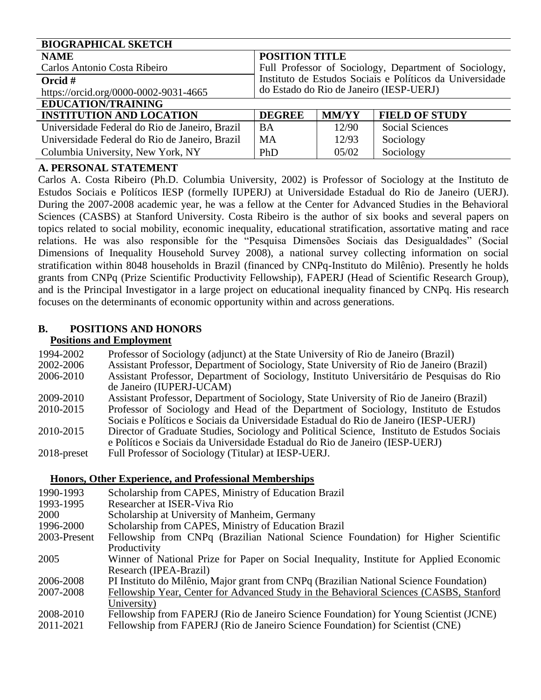| <b>BIOGRAPHICAL SKETCH</b>                     |                                                          |              |                        |  |
|------------------------------------------------|----------------------------------------------------------|--------------|------------------------|--|
| <b>NAME</b>                                    | <b>POSITION TITLE</b>                                    |              |                        |  |
| Carlos Antonio Costa Ribeiro                   | Full Professor of Sociology, Department of Sociology,    |              |                        |  |
| Orcid $#$                                      | Instituto de Estudos Sociais e Políticos da Universidade |              |                        |  |
| https://orcid.org/0000-0002-9031-4665          | do Estado do Rio de Janeiro (IESP-UERJ)                  |              |                        |  |
| <b>EDUCATION/TRAINING</b>                      |                                                          |              |                        |  |
| <b>INSTITUTION AND LOCATION</b>                | <b>DEGREE</b>                                            | <b>MM/YY</b> | <b>FIELD OF STUDY</b>  |  |
| Universidade Federal do Rio de Janeiro, Brazil | <b>BA</b>                                                | 12/90        | <b>Social Sciences</b> |  |
| Universidade Federal do Rio de Janeiro, Brazil | <b>MA</b>                                                | 12/93        | Sociology              |  |
| Columbia University, New York, NY              | PhD                                                      | 05/02        | Sociology              |  |

# **A. PERSONAL STATEMENT**

Carlos A. Costa Ribeiro (Ph.D. Columbia University, 2002) is Professor of Sociology at the Instituto de Estudos Sociais e Políticos IESP (formelly IUPERJ) at Universidade Estadual do Rio de Janeiro (UERJ). During the 2007-2008 academic year, he was a fellow at the Center for Advanced Studies in the Behavioral Sciences (CASBS) at Stanford University. Costa Ribeiro is the author of six books and several papers on topics related to social mobility, economic inequality, educational stratification, assortative mating and race relations. He was also responsible for the "Pesquisa Dimensões Sociais das Desigualdades" (Social Dimensions of Inequality Household Survey 2008), a national survey collecting information on social stratification within 8048 households in Brazil (financed by CNPq-Instituto do Milênio). Presently he holds grants from CNPq (Prize Scientific Productivity Fellowship), FAPERJ (Head of Scientific Research Group), and is the Principal Investigator in a large project on educational inequality financed by CNPq. His research focuses on the determinants of economic opportunity within and across generations.

# **B. POSITIONS AND HONORS**

## **Positions and Employment**

| 1994-2002      | Professor of Sociology (adjunct) at the State University of Rio de Janeiro (Brazil)         |
|----------------|---------------------------------------------------------------------------------------------|
| 2002-2006      | Assistant Professor, Department of Sociology, State University of Rio de Janeiro (Brazil)   |
| 2006-2010      | Assistant Professor, Department of Sociology, Instituto Universitário de Pesquisas do Rio   |
|                | de Janeiro (IUPERJ-UCAM)                                                                    |
| 2009-2010      | Assistant Professor, Department of Sociology, State University of Rio de Janeiro (Brazil)   |
| 2010-2015      | Professor of Sociology and Head of the Department of Sociology, Instituto de Estudos        |
|                | Sociais e Políticos e Sociais da Universidade Estadual do Rio de Janeiro (IESP-UERJ)        |
| 2010-2015      | Director of Graduate Studies, Sociology and Political Science, Instituto de Estudos Sociais |
|                | e Políticos e Sociais da Universidade Estadual do Rio de Janeiro (IESP-UERJ)                |
| $2018$ -preset | Full Professor of Sociology (Titular) at IESP-UERJ.                                         |

#### **Honors, Other Experience, and Professional Memberships**

| 1990-1993    | Scholarship from CAPES, Ministry of Education Brazil                                    |
|--------------|-----------------------------------------------------------------------------------------|
| 1993-1995    | Researcher at ISER-Viva Rio                                                             |
| 2000         | Scholarship at University of Manheim, Germany                                           |
| 1996-2000    | Scholarship from CAPES, Ministry of Education Brazil                                    |
| 2003-Present | Fellowship from CNPq (Brazilian National Science Foundation) for Higher Scientific      |
|              | Productivity                                                                            |
| 2005         | Winner of National Prize for Paper on Social Inequality, Institute for Applied Economic |
|              | Research (IPEA-Brazil)                                                                  |
| 2006-2008    | PI Instituto do Milênio, Major grant from CNPq (Brazilian National Science Foundation)  |
| 2007-2008    | Fellowship Year, Center for Advanced Study in the Behavioral Sciences (CASBS, Stanford  |
|              | University)                                                                             |
| 2008-2010    | Fellowship from FAPERJ (Rio de Janeiro Science Foundation) for Young Scientist (JCNE)   |
| 2011-2021    | Fellowship from FAPERJ (Rio de Janeiro Science Foundation) for Scientist (CNE)          |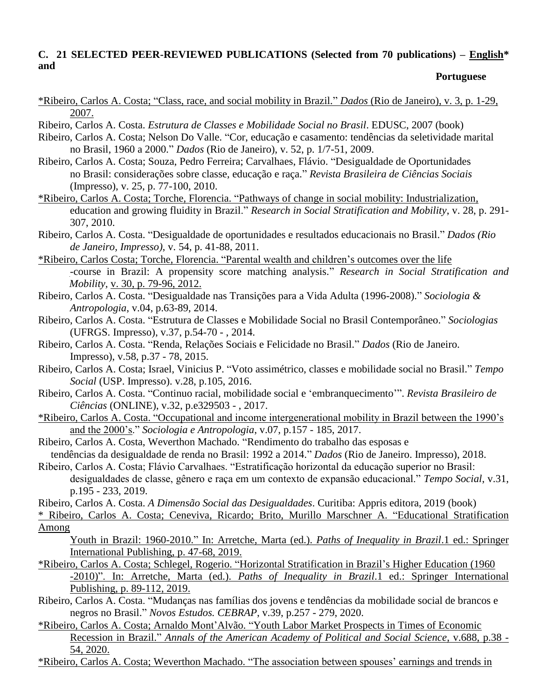### **C. 21 SELECTED PEER-REVIEWED PUBLICATIONS (Selected from 70 publications) – English\* and**

#### **Portuguese**

- \*Ribeiro, Carlos A. Costa; "Class, race, and social mobility in Brazil." *Dados* (Rio de Janeiro), v. 3, p. 1-29, 2007.
- Ribeiro, Carlos A. Costa. *Estrutura de Classes e Mobilidade Social no Brasil*. EDUSC, 2007 (book)
- Ribeiro, Carlos A. Costa; Nelson Do Valle. "Cor, educação e casamento: tendências da seletividade marital no Brasil, 1960 a 2000." *Dados* (Rio de Janeiro), v. 52, p. 1/7-51, 2009.
- Ribeiro, Carlos A. Costa; Souza, Pedro Ferreira; Carvalhaes, Flávio. "Desigualdade de Oportunidades no Brasil: considerações sobre classe, educação e raça." *Revista Brasileira de Ciências Sociais* (Impresso), v. 25, p. 77-100, 2010.
- \*Ribeiro, Carlos A. Costa; Torche, Florencia. "Pathways of change in social mobility: Industrialization, education and growing fluidity in Brazil." *Research in Social Stratification and Mobility*, v. 28, p. 291- 307, 2010.
- Ribeiro, Carlos A. Costa. "Desigualdade de oportunidades e resultados educacionais no Brasil." *Dados (Rio de Janeiro, Impresso)*, v. 54, p. 41-88, 2011.
- \*Ribeiro, Carlos Costa; Torche, Florencia. "Parental wealth and children's outcomes over the life -course in Brazil: A propensity score matching analysis." *Research in Social Stratification and Mobility,* v. 30, p. 79-96, 2012.
- Ribeiro, Carlos A. Costa. "Desigualdade nas Transições para a Vida Adulta (1996-2008)." *Sociologia & Antropologia*, v.04, p.63-89, 2014.
- Ribeiro, Carlos A. Costa. "Estrutura de Classes e Mobilidade Social no Brasil Contemporâneo." *Sociologias* (UFRGS. Impresso), v.37, p.54-70 - , 2014.
- Ribeiro, Carlos A. Costa. "Renda, Relações Sociais e Felicidade no Brasil." *Dados* (Rio de Janeiro. Impresso), v.58, p.37 - 78, 2015.
- Ribeiro, Carlos A. Costa; Israel, Vinicius P. "Voto assimétrico, classes e mobilidade social no Brasil." *Tempo Social* (USP. Impresso). v.28, p.105, 2016.
- Ribeiro, Carlos A. Costa. "Continuo racial, mobilidade social e 'embranquecimento'". *Revista Brasileiro de Ciências* (ONLINE), v.32, p.e329503 - , 2017.
- \*Ribeiro, Carlos A. Costa. "Occupational and income intergenerational mobility in Brazil between the 1990's and the 2000's." *Sociologia e Antropologia*, v.07, p.157 - 185, 2017.
- Ribeiro, Carlos A. Costa, Weverthon Machado. "Rendimento do trabalho das esposas e tendências da desigualdade de renda no Brasil: 1992 a 2014." *Dados* (Rio de Janeiro. Impresso), 2018.
- Ribeiro, Carlos A. Costa; Flávio Carvalhaes. "Estratificação horizontal da educação superior no Brasil: desigualdades de classe, gênero e raça em um contexto de expansão educacional." *Tempo Social*, v.31, p.195 - 233, 2019.
- Ribeiro, Carlos A. Costa. *A Dimensão Social das Desigualdades*. Curitiba: Appris editora, 2019 (book)
- \* Ribeiro, Carlos A. Costa; Ceneviva, Ricardo; Brito, Murillo Marschner A. "Educational Stratification Among
	- Youth in Brazil: 1960-2010." In: Arretche, Marta (ed.). *Paths of Inequality in Brazil*.1 ed.: Springer International Publishing, p. 47-68, 2019.
- \*Ribeiro, Carlos A. Costa; Schlegel, Rogerio. "Horizontal Stratification in Brazil's Higher Education (1960 -2010)". In: Arretche, Marta (ed.). *Paths of Inequality in Brazil*.1 ed.: Springer International Publishing, p. 89-112, 2019.
- Ribeiro, Carlos A. Costa. "Mudanças nas famílias dos jovens e tendências da mobilidade social de brancos e negros no Brasil." *Novos Estudos. CEBRAP*, v.39, p.257 - 279, 2020.
- \*Ribeiro, Carlos A. Costa; Arnaldo Mont'Alvão. "Youth Labor Market Prospects in Times of Economic Recession in Brazil." *Annals of the American Academy of Political and Social Science*, v.688, p.38 - 54, 2020.

\*Ribeiro, Carlos A. Costa; Weverthon Machado. "The association between spouses' earnings and trends in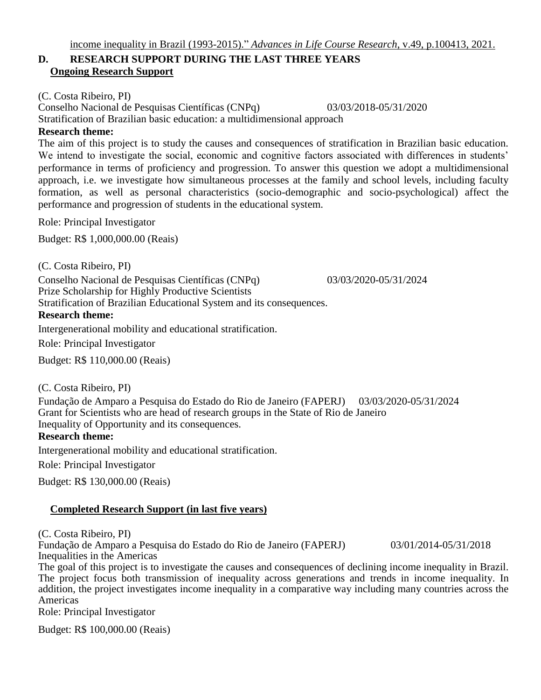# **D. RESEARCH SUPPORT DURING THE LAST THREE YEARS Ongoing Research Support**

(C. Costa Ribeiro, PI)

Conselho Nacional de Pesquisas Científicas (CNPq) 03/03/2018-05/31/2020

Stratification of Brazilian basic education: a multidimensional approach

#### **Research theme:**

The aim of this project is to study the causes and consequences of stratification in Brazilian basic education. We intend to investigate the social, economic and cognitive factors associated with differences in students' performance in terms of proficiency and progression. To answer this question we adopt a multidimensional approach, i.e. we investigate how simultaneous processes at the family and school levels, including faculty formation, as well as personal characteristics (socio-demographic and socio-psychological) affect the performance and progression of students in the educational system.

Role: Principal Investigator

Budget: R\$ 1,000,000.00 (Reais)

(C. Costa Ribeiro, PI) Conselho Nacional de Pesquisas Científicas (CNPq) 03/03/2020-05/31/2024 Prize Scholarship for Highly Productive Scientists Stratification of Brazilian Educational System and its consequences.

**Research theme:**

Intergenerational mobility and educational stratification.

Role: Principal Investigator

Budget: R\$ 110,000.00 (Reais)

(C. Costa Ribeiro, PI)

Fundação de Amparo a Pesquisa do Estado do Rio de Janeiro (FAPERJ) 03/03/2020-05/31/2024 Grant for Scientists who are head of research groups in the State of Rio de Janeiro Inequality of Opportunity and its consequences.

#### **Research theme:**

Intergenerational mobility and educational stratification.

Role: Principal Investigator

Budget: R\$ 130,000.00 (Reais)

#### **Completed Research Support (in last five years)**

(C. Costa Ribeiro, PI)

Fundação de Amparo a Pesquisa do Estado do Rio de Janeiro (FAPERJ) 03/01/2014-05/31/2018 Inequalities in the Americas

The goal of this project is to investigate the causes and consequences of declining income inequality in Brazil. The project focus both transmission of inequality across generations and trends in income inequality. In addition, the project investigates income inequality in a comparative way including many countries across the Americas

Role: Principal Investigator

Budget: R\$ 100,000.00 (Reais)